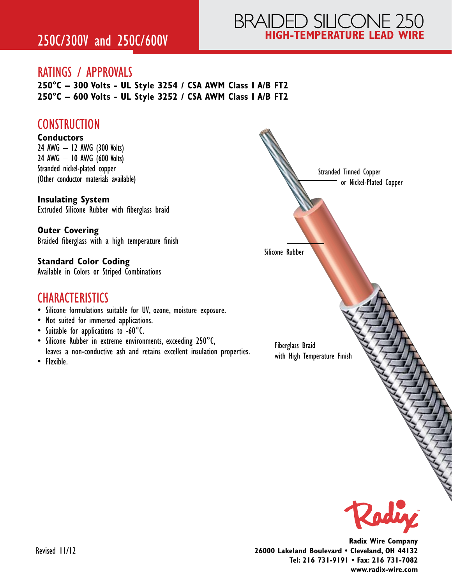# BRAIDED SILICONE 250 **HIGH-TEMPERATURE LEAD WIRE** 250C/300V and 250C/600V

#### RATINGS / APPROVALS

**250°C – 300 Volts - UL Style 3254 / CSA AWM Class I A/B FT2 250°C – 600 Volts - UL Style 3252 / CSA AWM Class I A/B FT2**

#### **CONSTRUCTION**

#### **Conductors**

24 AWG – 12 AWG (300 Volts) 24 AWG – 10 AWG (600 Volts) Stranded nickel-plated copper (Other conductor materials available)

#### **Insulating System**

Extruded Silicone Rubber with fiberglass braid

**Outer Covering** Braided fiberglass with a high temperature finish

**Standard Color Coding** Available in Colors or Striped Combinations

#### **CHARACTERISTICS**

- Silicone formulations suitable for UV, ozone, moisture exposure.
- Not suited for immersed applications.
- Suitable for applications to -60°C.
- Silicone Rubber in extreme environments, exceeding 250°C, leaves a non-conductive ash and retains excellent insulation properties.
- Flexible.



**Radix Wire Company 26000 Lakeland Boulevard • Cleveland, OH 44132 Tel: 216 731-9191 • Fax: 216 731-7082 www.radix-wire.com**